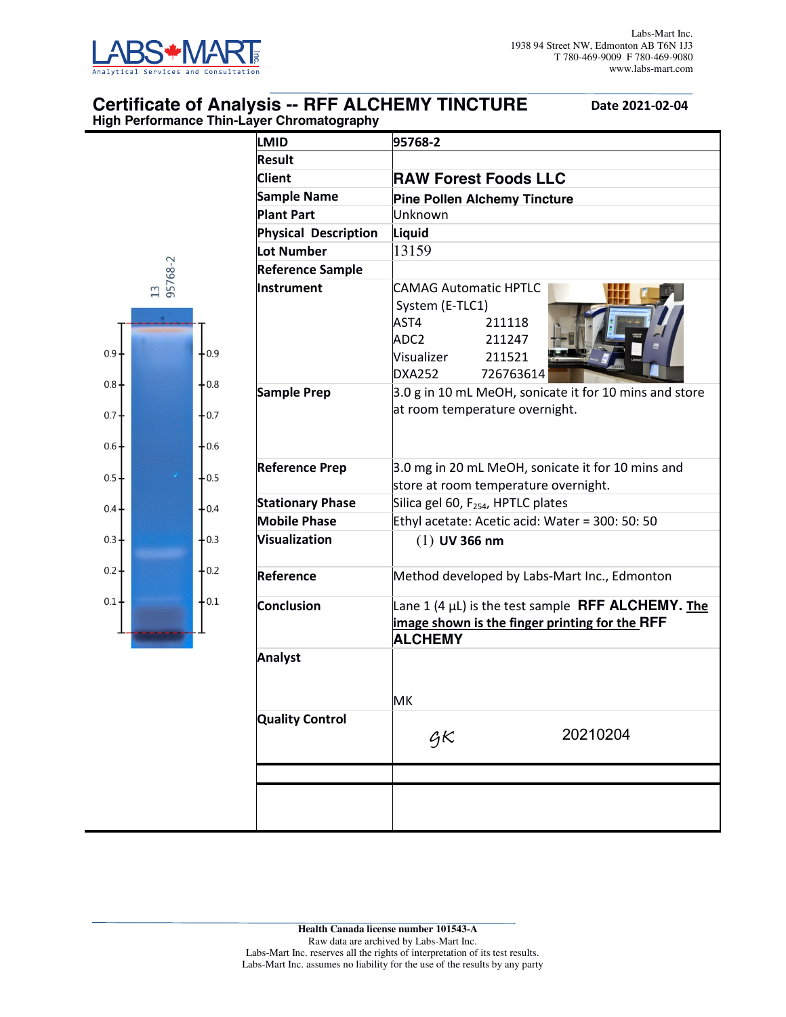

## **Certificate of Analysis -- RFF ALCHEMY TINCTURE** Date 2021-02-04 **High Performance Thin-Layer Chromatography**

| <b>LMID</b>                 | 95768-2                                                                                                                            |  |  |  |  |
|-----------------------------|------------------------------------------------------------------------------------------------------------------------------------|--|--|--|--|
| Result                      |                                                                                                                                    |  |  |  |  |
| <b>Client</b>               | <b>RAW Forest Foods LLC</b>                                                                                                        |  |  |  |  |
| <b>Sample Name</b>          | <b>Pine Pollen Alchemy Tincture</b>                                                                                                |  |  |  |  |
| <b>Plant Part</b>           | lUnknown                                                                                                                           |  |  |  |  |
| <b>Physical Description</b> | Liquid                                                                                                                             |  |  |  |  |
| Lot Number                  | 13159                                                                                                                              |  |  |  |  |
| <b>Reference Sample</b>     |                                                                                                                                    |  |  |  |  |
| Instrument                  | <b>CAMAG Automatic HPTLC</b><br>System (E-TLC1)<br>AST4<br>211118<br>ADC2<br>211247<br>Visualizer<br>211521<br>DXA252<br>726763614 |  |  |  |  |
| <b>Sample Prep</b>          | 3.0 g in 10 mL MeOH, sonicate it for 10 mins and store<br>at room temperature overnight.                                           |  |  |  |  |
| <b>Reference Prep</b>       | 3.0 mg in 20 mL MeOH, sonicate it for 10 mins and<br>store at room temperature overnight.                                          |  |  |  |  |
| <b>Stationary Phase</b>     | Silica gel 60, F <sub>254</sub> , HPTLC plates                                                                                     |  |  |  |  |
| <b>Mobile Phase</b>         | Ethyl acetate: Acetic acid: Water = 300: 50: 50                                                                                    |  |  |  |  |
| <b>Visualization</b>        | $(1)$ UV 366 nm                                                                                                                    |  |  |  |  |
| Reference                   | Method developed by Labs-Mart Inc., Edmonton                                                                                       |  |  |  |  |
| <b>Conclusion</b>           | Lane 1 (4 $\mu$ L) is the test sample <b>RFF ALCHEMY.</b> The<br>image shown is the finger printing for the RFF<br><b>ALCHEMY</b>  |  |  |  |  |
| <b>Analyst</b>              | МK                                                                                                                                 |  |  |  |  |
| <b>Quality Control</b>      | 20210204<br>$\bm{\mathcal{G}}\bm{\mathcal{K}}$                                                                                     |  |  |  |  |
|                             |                                                                                                                                    |  |  |  |  |